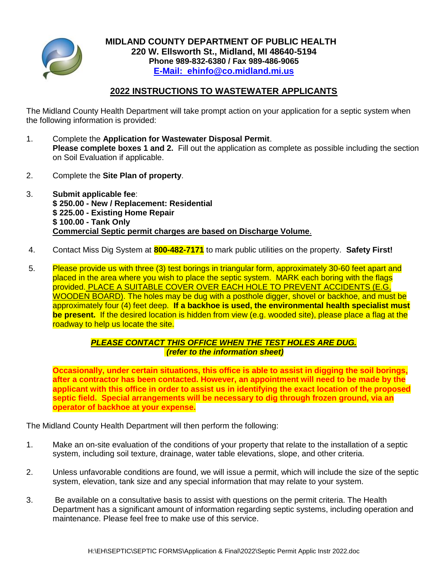

## **2022 INSTRUCTIONS TO WASTEWATER APPLICANTS**

The Midland County Health Department will take prompt action on your application for a septic system when the following information is provided:

- 1. Complete the **Application for Wastewater Disposal Permit**. **Please complete boxes 1 and 2.** Fill out the application as complete as possible including the section on Soil Evaluation if applicable.
- 2. Complete the **Site Plan of property**.
- 3. **Submit applicable fee**: **\$ 250.00 - New / Replacement: Residential \$ 225.00 - Existing Home Repair \$ 100.00 - Tank Only Commercial Septic permit charges are based on Discharge Volume**.
- 4. Contact Miss Dig System at **800-482-7171** to mark public utilities on the property. **Safety First!**
- 5. Please provide us with three (3) test borings in triangular form, approximately 30-60 feet apart and placed in the area where you wish to place the septic system. MARK each boring with the flags provided. PLACE A SUITABLE COVER OVER EACH HOLE TO PREVENT ACCIDENTS (E.G. WOODEN BOARD). The holes may be dug with a posthole digger, shovel or backhoe, and must be approximately four (4) feet deep. **If a backhoe is used, the environmental health specialist must be present.** If the desired location is hidden from view (e.g. wooded site), please place a flag at the roadway to help us locate the site.

## *PLEASE CONTACT THIS OFFICE WHEN THE TEST HOLES ARE DUG. (refer to the information sheet)*

**Occasionally, under certain situations, this office is able to assist in digging the soil borings, after a contractor has been contacted. However, an appointment will need to be made by the applicant with this office in order to assist us in identifying the exact location of the proposed septic field. Special arrangements will be necessary to dig through frozen ground, via an operator of backhoe at your expense.**

The Midland County Health Department will then perform the following:

- 1. Make an on-site evaluation of the conditions of your property that relate to the installation of a septic system, including soil texture, drainage, water table elevations, slope, and other criteria.
- 2. Unless unfavorable conditions are found, we will issue a permit, which will include the size of the septic system, elevation, tank size and any special information that may relate to your system.
- 3. Be available on a consultative basis to assist with questions on the permit criteria. The Health Department has a significant amount of information regarding septic systems, including operation and maintenance. Please feel free to make use of this service.